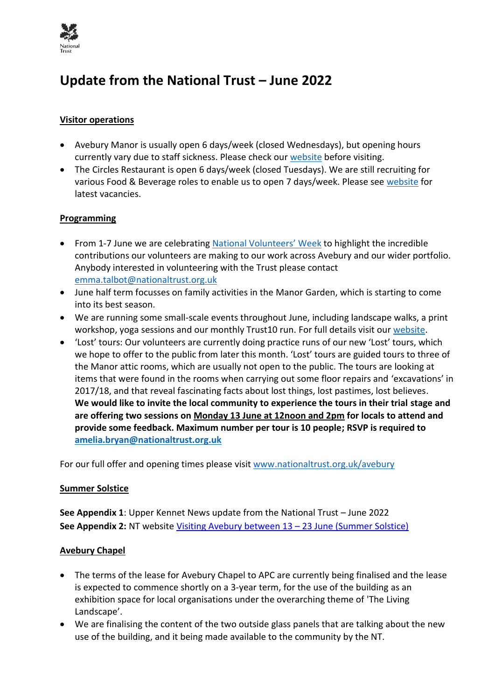

# **Update from the National Trust – June 2022**

# **Visitor operations**

- Avebury Manor is usually open 6 days/week (closed Wednesdays), but opening hours currently vary due to staff sickness. Please check our [website](https://www.nationaltrust.org.uk/avebury#Opening%20times) before visiting.
- The Circles Restaurant is open 6 days/week (closed Tuesdays). We are still recruiting for various Food & Beverage roles to enable us to open 7 days/week. Please see [website](https://www.nationaltrustjobs.org.uk/) for latest vacancies.

# **Programming**

- From 1-7 June we are celebrating [National Volunteers](https://volunteersweek.org/)' Week to highlight the incredible contributions our volunteers are making to our work across Avebury and our wider portfolio. Anybody interested in volunteering with the Trust please contact [emma.talbot@nationaltrust.org.uk](mailto:emma.talbot@nationaltrust.org.uk)
- June half term focusses on family activities in the Manor Garden, which is starting to come into its best season.
- We are running some small-scale events throughout June, including landscape walks, a print workshop, yoga sessions and our monthly Trust10 run. For full details visit our [website.](https://www.nationaltrust.org.uk/avebury#Opening%20times)
- 'Lost' tours: Our volunteers are currently doing practice runs of our new 'Lost' tours, which we hope to offer to the public from later this month. 'Lost' tours are guided tours to three of the Manor attic rooms, which are usually not open to the public. The tours are looking at items that were found in the rooms when carrying out some floor repairs and 'excavations' in 2017/18, and that reveal fascinating facts about lost things, lost pastimes, lost believes. **We would like to invite the local community to experience the tours in their trial stage and are offering two sessions on Monday 13 June at 12noon and 2pm for locals to attend and provide some feedback. Maximum number per tour is 10 people; RSVP is required to [amelia.bryan@nationaltrust.org.uk](mailto:amelia.bryan@nationaltrust.org.uk)**

For our full offer and opening times please visit [www.nationaltrust.org.uk/avebury](http://www.nationaltrust.org.uk/avebury)

#### **Summer Solstice**

**See Appendix 1**: Upper Kennet News update from the National Trust – June 2022 **See Appendix 2: NT** website [Visiting Avebury between 13](https://www.nationaltrust.org.uk/avebury/features/summer-solstice-2021---national-trust-facilities-at-avebury-closed-overnight) – 23 June (Summer Solstice)

#### **Avebury Chapel**

- The terms of the lease for Avebury Chapel to APC are currently being finalised and the lease is expected to commence shortly on a 3-year term, for the use of the building as an exhibition space for local organisations under the overarching theme of 'The Living Landscape'.
- We are finalising the content of the two outside glass panels that are talking about the new use of the building, and it being made available to the community by the NT.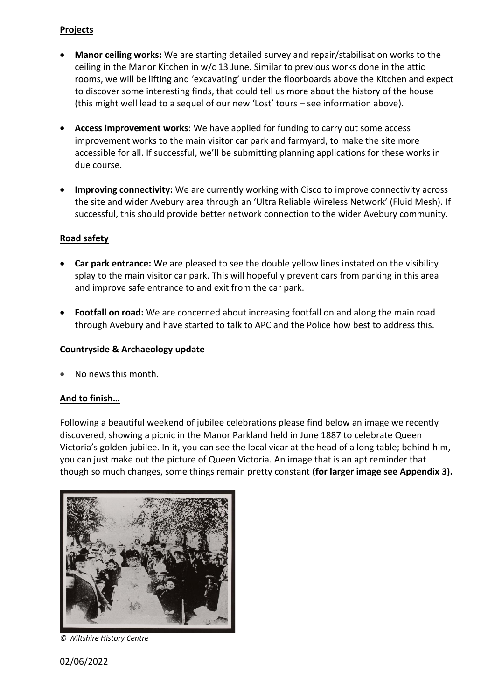# **Projects**

- **Manor ceiling works:** We are starting detailed survey and repair/stabilisation works to the ceiling in the Manor Kitchen in w/c 13 June. Similar to previous works done in the attic rooms, we will be lifting and 'excavating' under the floorboards above the Kitchen and expect to discover some interesting finds, that could tell us more about the history of the house (this might well lead to a sequel of our new 'Lost' tours – see information above).
- **Access improvement works**: We have applied for funding to carry out some access improvement works to the main visitor car park and farmyard, to make the site more accessible for all. If successful, we'll be submitting planning applications for these works in due course.
- **Improving connectivity:** We are currently working with Cisco to improve connectivity across the site and wider Avebury area through an 'Ultra Reliable Wireless Network' (Fluid Mesh). If successful, this should provide better network connection to the wider Avebury community.

# **Road safety**

- **Car park entrance:** We are pleased to see the double yellow lines instated on the visibility splay to the main visitor car park. This will hopefully prevent cars from parking in this area and improve safe entrance to and exit from the car park.
- **Footfall on road:** We are concerned about increasing footfall on and along the main road through Avebury and have started to talk to APC and the Police how best to address this.

# **Countryside & Archaeology update**

• No news this month.

# **And to finish…**

Following a beautiful weekend of jubilee celebrations please find below an image we recently discovered, showing a picnic in the Manor Parkland held in June 1887 to celebrate Queen Victoria's golden jubilee. In it, you can see the local vicar at the head of a long table; behind him, you can just make out the picture of Queen Victoria. An image that is an apt reminder that though so much changes, some things remain pretty constant **(for larger image see Appendix 3).**



*© Wiltshire History Centre*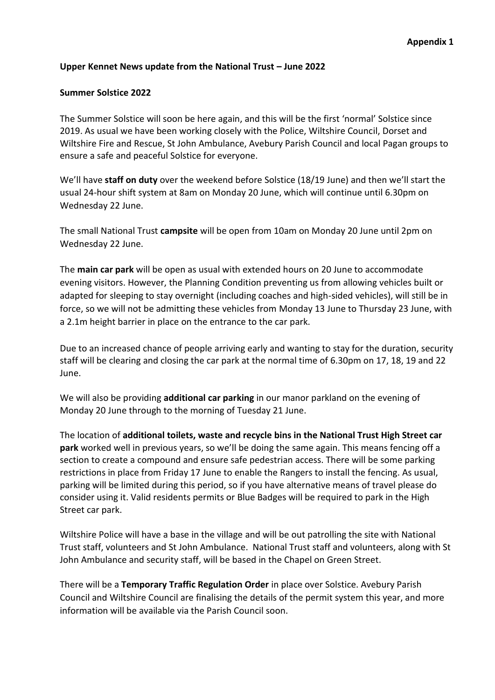#### **Upper Kennet News update from the National Trust – June 2022**

#### **Summer Solstice 2022**

The Summer Solstice will soon be here again, and this will be the first 'normal' Solstice since 2019. As usual we have been working closely with the Police, Wiltshire Council, Dorset and Wiltshire Fire and Rescue, St John Ambulance, Avebury Parish Council and local Pagan groups to ensure a safe and peaceful Solstice for everyone.

We'll have **staff on duty** over the weekend before Solstice (18/19 June) and then we'll start the usual 24-hour shift system at 8am on Monday 20 June, which will continue until 6.30pm on Wednesday 22 June.

The small National Trust **campsite** will be open from 10am on Monday 20 June until 2pm on Wednesday 22 June.

The **main car park** will be open as usual with extended hours on 20 June to accommodate evening visitors. However, the Planning Condition preventing us from allowing vehicles built or adapted for sleeping to stay overnight (including coaches and high-sided vehicles), will still be in force, so we will not be admitting these vehicles from Monday 13 June to Thursday 23 June, with a 2.1m height barrier in place on the entrance to the car park.

Due to an increased chance of people arriving early and wanting to stay for the duration, security staff will be clearing and closing the car park at the normal time of 6.30pm on 17, 18, 19 and 22 June.

We will also be providing **additional car parking** in our manor parkland on the evening of Monday 20 June through to the morning of Tuesday 21 June.

The location of **additional toilets, waste and recycle bins in the National Trust High Street car park** worked well in previous years, so we'll be doing the same again. This means fencing off a section to create a compound and ensure safe pedestrian access. There will be some parking restrictions in place from Friday 17 June to enable the Rangers to install the fencing. As usual, parking will be limited during this period, so if you have alternative means of travel please do consider using it. Valid residents permits or Blue Badges will be required to park in the High Street car park.

Wiltshire Police will have a base in the village and will be out patrolling the site with National Trust staff, volunteers and St John Ambulance. National Trust staff and volunteers, along with St John Ambulance and security staff, will be based in the Chapel on Green Street.

There will be a **Temporary Traffic Regulation Order** in place over Solstice. Avebury Parish Council and Wiltshire Council are finalising the details of the permit system this year, and more information will be available via the Parish Council soon.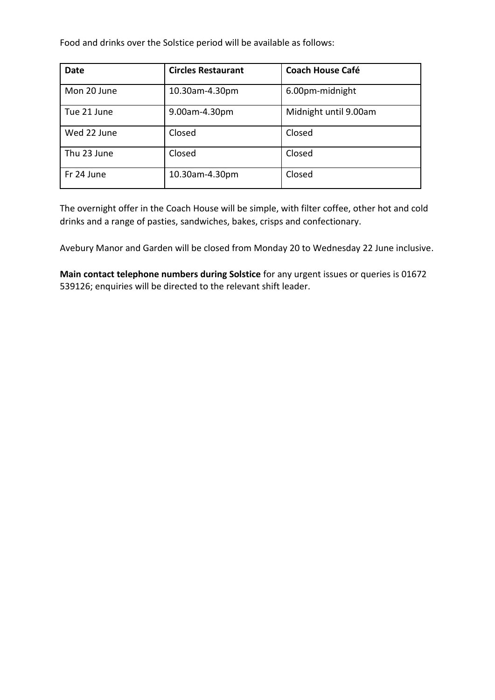Food and drinks over the Solstice period will be available as follows:

| <b>Date</b> | <b>Circles Restaurant</b> | <b>Coach House Café</b> |
|-------------|---------------------------|-------------------------|
| Mon 20 June | 10.30am-4.30pm            | 6.00pm-midnight         |
| Tue 21 June | 9.00am-4.30pm             | Midnight until 9.00am   |
| Wed 22 June | Closed                    | Closed                  |
| Thu 23 June | Closed                    | Closed                  |
| Fr 24 June  | 10.30am-4.30pm            | Closed                  |

The overnight offer in the Coach House will be simple, with filter coffee, other hot and cold drinks and a range of pasties, sandwiches, bakes, crisps and confectionary.

Avebury Manor and Garden will be closed from Monday 20 to Wednesday 22 June inclusive.

**Main contact telephone numbers during Solstice** for any urgent issues or queries is 01672 539126; enquiries will be directed to the relevant shift leader.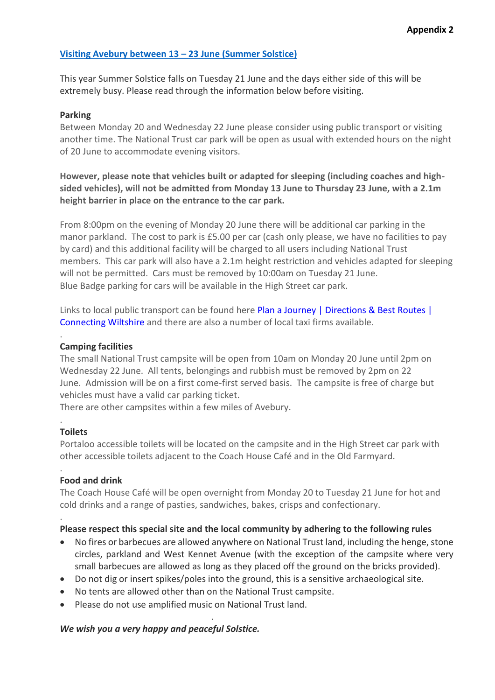# **[Visiting Avebury between 13](https://www.nationaltrust.org.uk/avebury/features/summer-solstice-2021---national-trust-facilities-at-avebury-closed-overnight) – 23 June (Summer Solstice)**

This year Summer Solstice falls on Tuesday 21 June and the days either side of this will be extremely busy. Please read through the information below before visiting.

#### **Parking**

Between Monday 20 and Wednesday 22 June please consider using public transport or visiting another time. The National Trust car park will be open as usual with extended hours on the night of 20 June to accommodate evening visitors.

**However, please note that vehicles built or adapted for sleeping (including coaches and highsided vehicles), will not be admitted from Monday 13 June to Thursday 23 June, with a 2.1m height barrier in place on the entrance to the car park.**

From 8:00pm on the evening of Monday 20 June there will be additional car parking in the manor parkland. The cost to park is £5.00 per car (cash only please, we have no facilities to pay by card) and this additional facility will be charged to all users including National Trust members. This car park will also have a 2.1m height restriction and vehicles adapted for sleeping will not be permitted. Cars must be removed by 10:00am on Tuesday 21 June. Blue Badge parking for cars will be available in the High Street car park.

Links to local public transport can be found here Plan a Journey | Directions & Best Routes | [Connecting Wiltshire](https://www.connectingwiltshire.co.uk/plan-a-journey/) and there are also a number of local taxi firms available.

#### **Camping facilities**

The small National Trust campsite will be open from 10am on Monday 20 June until 2pm on Wednesday 22 June. All tents, belongings and rubbish must be removed by 2pm on 22 June. Admission will be on a first come-first served basis. The campsite is free of charge but vehicles must have a valid car parking ticket.

There are other campsites within a few miles of Avebury.

#### **Toilets**

.

.

.

.

Portaloo accessible toilets will be located on the campsite and in the High Street car park with other accessible toilets adjacent to the Coach House Café and in the Old Farmyard.

# **Food and drink**

The Coach House Café will be open overnight from Monday 20 to Tuesday 21 June for hot and cold drinks and a range of pasties, sandwiches, bakes, crisps and confectionary.

#### **Please respect this special site and the local community by adhering to the following rules**

- No fires or barbecues are allowed anywhere on National Trust land, including the henge, stone circles, parkland and West Kennet Avenue (with the exception of the campsite where very small barbecues are allowed as long as they placed off the ground on the bricks provided).
- Do not dig or insert spikes/poles into the ground, this is a sensitive archaeological site.
- No tents are allowed other than on the National Trust campsite.

.

• Please do not use amplified music on National Trust land.

#### *We wish you a very happy and peaceful Solstice.*